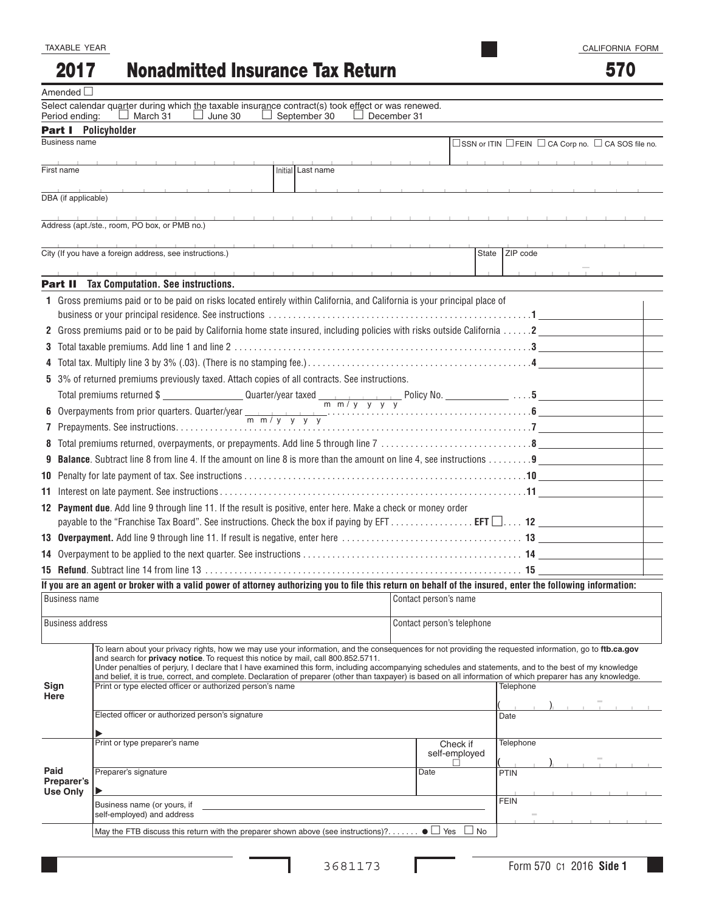TAXABLE YEAR

#### Nonadmitted Insurance Tax Return 2017

## 570

| Amended $\Box$          |                                                                                                                                                                                                                            |                                                                                                                                                                                                                                              |  |                            |           |                                                    |                    |    |  |  |
|-------------------------|----------------------------------------------------------------------------------------------------------------------------------------------------------------------------------------------------------------------------|----------------------------------------------------------------------------------------------------------------------------------------------------------------------------------------------------------------------------------------------|--|----------------------------|-----------|----------------------------------------------------|--------------------|----|--|--|
| Period ending:          |                                                                                                                                                                                                                            | Select calendar quarter during which the taxable insurance contract(s) took effect or was renewed.<br>$\Box$ March 31<br>June 30<br>September 30<br>December 31                                                                              |  |                            |           |                                                    |                    |    |  |  |
|                         |                                                                                                                                                                                                                            | <b>Part I</b> Policyholder                                                                                                                                                                                                                   |  |                            |           |                                                    |                    |    |  |  |
| <b>Business name</b>    |                                                                                                                                                                                                                            |                                                                                                                                                                                                                                              |  |                            |           | □SSN or ITIN □FEIN □ CA Corp no. □ CA SOS file no. |                    |    |  |  |
|                         |                                                                                                                                                                                                                            |                                                                                                                                                                                                                                              |  |                            |           |                                                    |                    |    |  |  |
| First name              |                                                                                                                                                                                                                            | Initial Last name                                                                                                                                                                                                                            |  |                            |           |                                                    |                    |    |  |  |
|                         |                                                                                                                                                                                                                            |                                                                                                                                                                                                                                              |  |                            |           | the control of the                                 |                    |    |  |  |
| DBA (if applicable)     |                                                                                                                                                                                                                            |                                                                                                                                                                                                                                              |  |                            |           |                                                    |                    |    |  |  |
|                         |                                                                                                                                                                                                                            | Address (apt./ste., room, PO box, or PMB no.)                                                                                                                                                                                                |  |                            |           |                                                    |                    |    |  |  |
|                         |                                                                                                                                                                                                                            |                                                                                                                                                                                                                                              |  |                            |           |                                                    |                    |    |  |  |
|                         |                                                                                                                                                                                                                            | City (If you have a foreign address, see instructions.)                                                                                                                                                                                      |  |                            | State     | ZIP code                                           |                    |    |  |  |
|                         |                                                                                                                                                                                                                            |                                                                                                                                                                                                                                              |  |                            |           |                                                    | and the company of | Т. |  |  |
|                         |                                                                                                                                                                                                                            | <b>Part II</b> Tax Computation. See instructions.                                                                                                                                                                                            |  |                            |           |                                                    |                    |    |  |  |
|                         | 1 Gross premiums paid or to be paid on risks located entirely within California, and California is your principal place of                                                                                                 |                                                                                                                                                                                                                                              |  |                            |           |                                                    |                    |    |  |  |
|                         |                                                                                                                                                                                                                            |                                                                                                                                                                                                                                              |  |                            |           |                                                    |                    |    |  |  |
|                         |                                                                                                                                                                                                                            | 2. Gross premiums paid or to be paid by California home state insured, including policies with risks outside California 2                                                                                                                    |  |                            |           |                                                    |                    |    |  |  |
|                         |                                                                                                                                                                                                                            |                                                                                                                                                                                                                                              |  |                            |           |                                                    |                    |    |  |  |
|                         |                                                                                                                                                                                                                            |                                                                                                                                                                                                                                              |  |                            |           |                                                    |                    |    |  |  |
|                         |                                                                                                                                                                                                                            | 5 3% of returned premiums previously taxed. Attach copies of all contracts. See instructions.                                                                                                                                                |  |                            |           |                                                    |                    |    |  |  |
|                         |                                                                                                                                                                                                                            |                                                                                                                                                                                                                                              |  |                            |           |                                                    |                    |    |  |  |
|                         |                                                                                                                                                                                                                            |                                                                                                                                                                                                                                              |  |                            |           |                                                    |                    |    |  |  |
|                         |                                                                                                                                                                                                                            |                                                                                                                                                                                                                                              |  |                            |           |                                                    |                    |    |  |  |
|                         |                                                                                                                                                                                                                            |                                                                                                                                                                                                                                              |  |                            |           |                                                    |                    |    |  |  |
| 9                       |                                                                                                                                                                                                                            | <b>Balance.</b> Subtract line 8 from line 4. If the amount on line 8 is more than the amount on line 4, see instructions 9                                                                                                                   |  |                            |           |                                                    |                    |    |  |  |
|                         |                                                                                                                                                                                                                            |                                                                                                                                                                                                                                              |  |                            |           |                                                    |                    |    |  |  |
| 11                      |                                                                                                                                                                                                                            |                                                                                                                                                                                                                                              |  |                            |           |                                                    |                    |    |  |  |
|                         |                                                                                                                                                                                                                            | 12 Payment due. Add line 9 through line 11. If the result is positive, enter here. Make a check or money order                                                                                                                               |  |                            |           |                                                    |                    |    |  |  |
|                         |                                                                                                                                                                                                                            | payable to the "Franchise Tax Board". See instructions. Check the box if paying by EFT $\ldots \ldots \ldots \ldots$ . EFT $\Box \ldots$ 12                                                                                                  |  |                            |           |                                                    |                    |    |  |  |
|                         |                                                                                                                                                                                                                            |                                                                                                                                                                                                                                              |  |                            |           |                                                    |                    |    |  |  |
| 14                      |                                                                                                                                                                                                                            |                                                                                                                                                                                                                                              |  |                            |           |                                                    |                    |    |  |  |
|                         |                                                                                                                                                                                                                            |                                                                                                                                                                                                                                              |  |                            |           |                                                    |                    |    |  |  |
|                         |                                                                                                                                                                                                                            | If you are an agent or broker with a valid power of attorney authorizing you to file this return on behalf of the insured, enter the following information:                                                                                  |  |                            |           |                                                    |                    |    |  |  |
| <b>Business name</b>    |                                                                                                                                                                                                                            |                                                                                                                                                                                                                                              |  | Contact person's name      |           |                                                    |                    |    |  |  |
| <b>Business address</b> |                                                                                                                                                                                                                            |                                                                                                                                                                                                                                              |  | Contact person's telephone |           |                                                    |                    |    |  |  |
|                         |                                                                                                                                                                                                                            |                                                                                                                                                                                                                                              |  |                            |           |                                                    |                    |    |  |  |
|                         |                                                                                                                                                                                                                            | To learn about your privacy rights, how we may use your information, and the consequences for not providing the requested information, go to ftb.ca.gov<br>and search for privacy notice. To request this notice by mail, call 800.852.5711. |  |                            |           |                                                    |                    |    |  |  |
|                         | Under penalties of perjury, I declare that I have examined this form, including accompanying schedules and statements, and to the best of my knowledge                                                                     |                                                                                                                                                                                                                                              |  |                            |           |                                                    |                    |    |  |  |
| Sign                    | and belief, it is true, correct, and complete. Declaration of preparer (other than taxpayer) is based on all information of which preparer has any knowledge.<br>Print or type elected officer or authorized person's name |                                                                                                                                                                                                                                              |  |                            |           | Telephone                                          |                    |    |  |  |
| Here                    |                                                                                                                                                                                                                            |                                                                                                                                                                                                                                              |  |                            |           |                                                    |                    |    |  |  |
|                         |                                                                                                                                                                                                                            | Elected officer or authorized person's signature                                                                                                                                                                                             |  |                            |           | Date                                               |                    |    |  |  |
|                         |                                                                                                                                                                                                                            |                                                                                                                                                                                                                                              |  |                            |           |                                                    |                    |    |  |  |
|                         |                                                                                                                                                                                                                            | Print or type preparer's name                                                                                                                                                                                                                |  | Check if<br>self-employed  |           | Telephone                                          |                    |    |  |  |
| Paid                    |                                                                                                                                                                                                                            |                                                                                                                                                                                                                                              |  |                            |           |                                                    |                    |    |  |  |
| Preparer's              |                                                                                                                                                                                                                            | Preparer's signature                                                                                                                                                                                                                         |  | Date                       |           | PTIN                                               |                    |    |  |  |
| <b>Use Only</b>         |                                                                                                                                                                                                                            | ▶                                                                                                                                                                                                                                            |  |                            |           | <b>FEIN</b>                                        |                    |    |  |  |
|                         |                                                                                                                                                                                                                            | Business name (or yours, if<br>self-employed) and address                                                                                                                                                                                    |  |                            |           |                                                    |                    |    |  |  |
|                         |                                                                                                                                                                                                                            | May the FTB discuss this return with the preparer shown above (see instructions)? $\bullet \Box$ Yes                                                                                                                                         |  |                            | $\Box$ No |                                                    |                    |    |  |  |
|                         |                                                                                                                                                                                                                            |                                                                                                                                                                                                                                              |  |                            |           |                                                    |                    |    |  |  |

L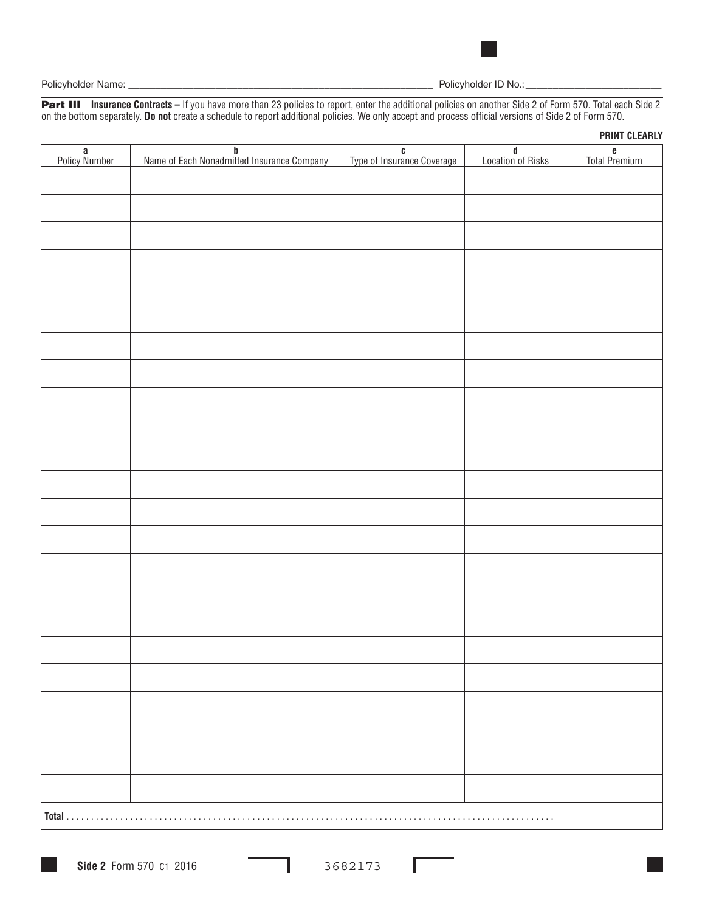

Part III **Insurance Contracts –** If you have more than 23 policies to report, enter the additional policies on another Side 2 of Form 570. Total each Side 2 on the bottom separately. **Do not** create a schedule to report additional policies. We only accept and process official versions of Side 2 of Form 570.

|                    |                                                        |                                 |                          | <b>PRINT CLEARLY</b> |
|--------------------|--------------------------------------------------------|---------------------------------|--------------------------|----------------------|
| a<br>Policy Number | <b>b</b><br>Name of Each Nonadmitted Insurance Company | C<br>Type of Insurance Coverage | $d$<br>Location of Risks | e<br>Total Premium   |
|                    |                                                        |                                 |                          |                      |
|                    |                                                        |                                 |                          |                      |
|                    |                                                        |                                 |                          |                      |
|                    |                                                        |                                 |                          |                      |
|                    |                                                        |                                 |                          |                      |
|                    |                                                        |                                 |                          |                      |
|                    |                                                        |                                 |                          |                      |
|                    |                                                        |                                 |                          |                      |
|                    |                                                        |                                 |                          |                      |
|                    |                                                        |                                 |                          |                      |
|                    |                                                        |                                 |                          |                      |
|                    |                                                        |                                 |                          |                      |
|                    |                                                        |                                 |                          |                      |
|                    |                                                        |                                 |                          |                      |
|                    |                                                        |                                 |                          |                      |
|                    |                                                        |                                 |                          |                      |
|                    |                                                        |                                 |                          |                      |
|                    |                                                        |                                 |                          |                      |
|                    |                                                        |                                 |                          |                      |
|                    |                                                        |                                 |                          |                      |
|                    |                                                        |                                 |                          |                      |
|                    |                                                        |                                 |                          |                      |
|                    |                                                        |                                 |                          |                      |
|                    |                                                        |                                 |                          |                      |
|                    |                                                        |                                 |                          |                      |
|                    |                                                        |                                 |                          |                      |
|                    |                                                        |                                 |                          |                      |
|                    |                                                        |                                 |                          |                      |
| Total              |                                                        |                                 | .                        |                      |

Г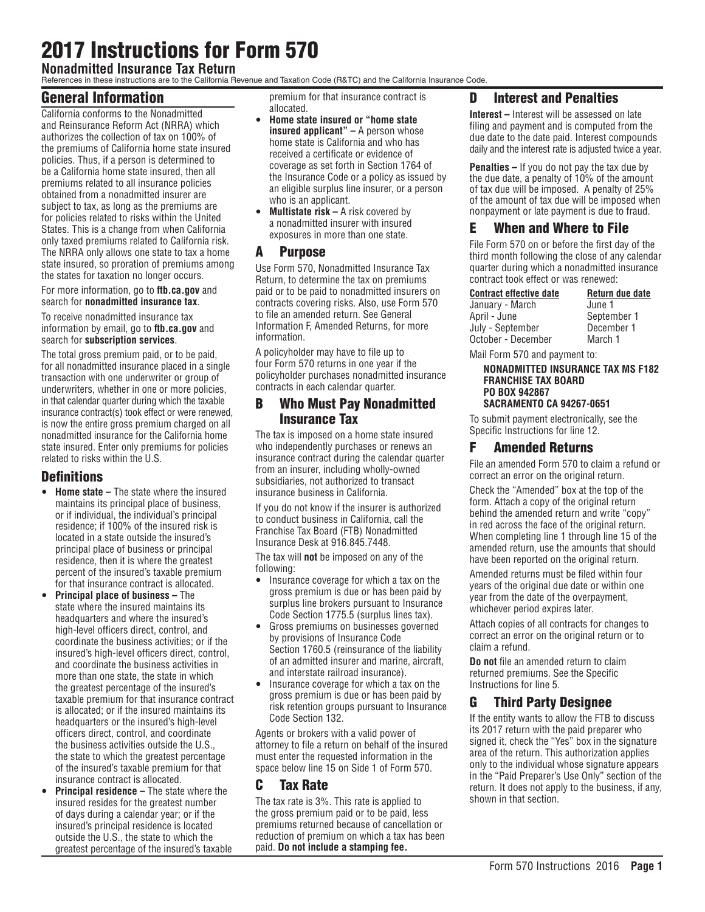# 2017 Instructions for Form 570

## **Nonadmitted Insurance Tax Return**

References in these instructions are to the California Revenue and Taxation Code (R&TC) and the California Insurance Code.

## General Information

California conforms to the Nonadmitted and Reinsurance Reform Act (NRRA) which authorizes the collection of tax on 100% of the premiums of California home state insured policies. Thus, if a person is determined to be a California home state insured, then all premiums related to all insurance policies obtained from a nonadmitted insurer are subject to tax, as long as the premiums are for policies related to risks within the United States. This is a change from when California only taxed premiums related to California risk. The NRRA only allows one state to tax a home state insured, so proration of premiums among the states for taxation no longer occurs.

#### For more information, go to **ftb.ca.gov** and search for **nonadmitted insurance tax**.

To receive nonadmitted insurance tax information by email, go to **ftb.ca.gov** and search for **subscription services**.

The total gross premium paid, or to be paid, for all nonadmitted insurance placed in a single transaction with one underwriter or group of underwriters, whether in one or more policies, in that calendar quarter during which the taxable insurance contract(s) took effect or were renewed, is now the entire gross premium charged on all nonadmitted insurance for the California home state insured. Enter only premiums for policies related to risks within the U.S.

#### **Definitions**

- **Home state –** The state where the insured maintains its principal place of business, or if individual, the individual's principal residence; if 100% of the insured risk is located in a state outside the insured's principal place of business or principal residence, then it is where the greatest percent of the insured's taxable premium for that insurance contract is allocated.
- **Principal place of business –** The state where the insured maintains its headquarters and where the insured's high-level officers direct, control, and coordinate the business activities; or if the insured's high-level officers direct, control, and coordinate the business activities in more than one state, the state in which the greatest percentage of the insured's taxable premium for that insurance contract is allocated; or if the insured maintains its headquarters or the insured's high-level officers direct, control, and coordinate the business activities outside the U.S., the state to which the greatest percentage of the insured's taxable premium for that insurance contract is allocated.
- **Principal residence –** The state where the insured resides for the greatest number of days during a calendar year; or if the insured's principal residence is located outside the U.S., the state to which the greatest percentage of the insured's taxable

premium for that insurance contract is allocated.

- y **Home state insured or "home state insured applicant" –** A person whose home state is California and who has received a certificate or evidence of coverage as set forth in Section 1764 of the Insurance Code or a policy as issued by an eligible surplus line insurer, or a person who is an applicant.
- **Multistate risk A risk covered by** a nonadmitted insurer with insured exposures in more than one state.

#### A Purpose

Use Form 570, Nonadmitted Insurance Tax Return, to determine the tax on premiums paid or to be paid to nonadmitted insurers on contracts covering risks. Also, use Form 570 to file an amended return. See General Information F, Amended Returns, for more information.

A policyholder may have to file up to four Form 570 returns in one year if the policyholder purchases nonadmitted insurance contracts in each calendar quarter.

#### B Who Must Pay Nonadmitted Insurance Tax

The tax is imposed on a home state insured who independently purchases or renews an insurance contract during the calendar quarter from an insurer, including wholly-owned subsidiaries, not authorized to transact insurance business in California.

If you do not know if the insurer is authorized to conduct business in California, call the Franchise Tax Board (FTB) Nonadmitted Insurance Desk at 916.845.7448.

The tax will **not** be imposed on any of the following:

- Insurance coverage for which a tax on the gross premium is due or has been paid by surplus line brokers pursuant to Insurance Code Section 1775.5 (surplus lines tax).
- Gross premiums on businesses governed by provisions of Insurance Code Section 1760.5 (reinsurance of the liability of an admitted insurer and marine, aircraft, and interstate railroad insurance).
- Insurance coverage for which a tax on the gross premium is due or has been paid by risk retention groups pursuant to Insurance Code Section 132.

Agents or brokers with a valid power of attorney to file a return on behalf of the insured must enter the requested information in the space below line 15 on Side 1 of Form 570.

#### C Tax Rate

The tax rate is 3%. This rate is applied to the gross premium paid or to be paid, less premiums returned because of cancellation or reduction of premium on which a tax has been paid. **Do not include a stamping fee.**

#### D Interest and Penalties

**Interest –** Interest will be assessed on late filing and payment and is computed from the due date to the date paid. Interest compounds daily and the interest rate is adjusted twice a year.

**Penalties –** If you do not pay the tax due by the due date, a penalty of 10% of the amount of tax due will be imposed. A penalty of 25% of the amount of tax due will be imposed when nonpayment or late payment is due to fraud.

#### E When and Where to File

File Form 570 on or before the first day of the third month following the close of any calendar quarter during which a nonadmitted insurance contract took effect or was renewed:

| <b>Contract effective date</b> | Return due date |
|--------------------------------|-----------------|
| January - March                | June 1          |
| April - June                   | September 1     |
| July - September               | December 1      |
| October - December             | March 1         |

Mail Form 570 and payment to:

**NONADMITTED INSURANCE TAX MS F182 FRANCHISE TAX BOARD PO BOX 942867 SACRAMENTO CA 94267-0651**

To submit payment electronically, see the Specific Instructions for line 12.

#### F Amended Returns

File an amended Form 570 to claim a refund or correct an error on the original return.

Check the "Amended" box at the top of the form. Attach a copy of the original return behind the amended return and write "copy" in red across the face of the original return. When completing line 1 through line 15 of the amended return, use the amounts that should have been reported on the original return.

Amended returns must be filed within four years of the original due date or within one year from the date of the overpayment, whichever period expires later.

Attach copies of all contracts for changes to correct an error on the original return or to claim a refund.

**Do not** file an amended return to claim returned premiums. See the Specific Instructions for line 5.

#### G Third Party Designee

If the entity wants to allow the FTB to discuss its 2017 return with the paid preparer who signed it, check the "Yes" box in the signature area of the return. This authorization applies only to the individual whose signature appears in the "Paid Preparer's Use Only" section of the return. It does not apply to the business, if any, shown in that section.